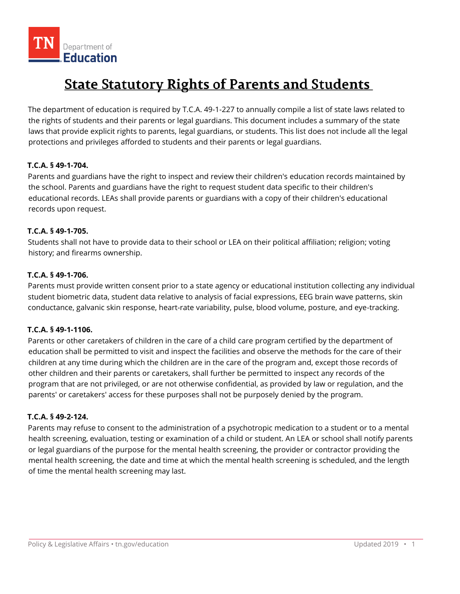# **State Statutory Rights of Parents and Students**

The department of education is required by T.C.A. 49-1-227 to annually compile a list of state laws related to the rights of students and their parents or legal guardians. This document includes a summary of the state laws that provide explicit rights to parents, legal guardians, or students. This list does not include all the legal protections and privileges afforded to students and their parents or legal guardians.

# **T.C.A. § 49-1-704.**

Parents and guardians have the right to inspect and review their children's education records maintained by the school. Parents and guardians have the right to request student data specific to their children's educational records. LEAs shall provide parents or guardians with a copy of their children's educational records upon request.

# **T.C.A. § 49-1-705.**

Students shall not have to provide data to their school or LEA on their political affiliation; religion; voting history; and firearms ownership.

## **T.C.A. § 49-1-706.**

Parents must provide written consent prior to a state agency or educational institution collecting any individual student biometric data, student data relative to analysis of facial expressions, EEG brain wave patterns, skin conductance, galvanic skin response, heart-rate variability, pulse, blood volume, posture, and eye-tracking.

# **T.C.A. § 49-1-1106.**

Parents or other caretakers of children in the care of a child care program certified by the department of education shall be permitted to visit and inspect the facilities and observe the methods for the care of their children at any time during which the children are in the care of the program and, except those records of other children and their parents or caretakers, shall further be permitted to inspect any records of the program that are not privileged, or are not otherwise confidential, as provided by law or regulation, and the parents' or caretakers' access for these purposes shall not be purposely denied by the program.

## **T.C.A. § 49-2-124.**

Parents may refuse to consent to the administration of a psychotropic medication to a student or to a mental health screening, evaluation, testing or examination of a child or student. An LEA or school shall notify parents or legal guardians of the purpose for the mental health screening, the provider or contractor providing the mental health screening, the date and time at which the mental health screening is scheduled, and the length of time the mental health screening may last.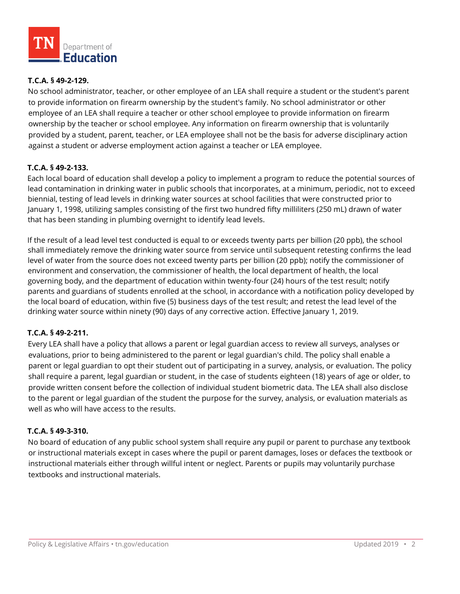

## **T.C.A. § 49-2-129.**

No school administrator, teacher, or other employee of an LEA shall require a student or the student's parent to provide information on firearm ownership by the student's family. No school administrator or other employee of an LEA shall require a teacher or other school employee to provide information on firearm ownership by the teacher or school employee. Any information on firearm ownership that is voluntarily provided by a student, parent, teacher, or LEA employee shall not be the basis for adverse disciplinary action against a student or adverse employment action against a teacher or LEA employee.

## **T.C.A. § 49-2-133.**

Each local board of education shall develop a policy to implement a program to reduce the potential sources of lead contamination in drinking water in public schools that incorporates, at a minimum, periodic, not to exceed biennial, testing of lead levels in drinking water sources at school facilities that were constructed prior to January 1, 1998, utilizing samples consisting of the first two hundred fifty milliliters (250 mL) drawn of water that has been standing in plumbing overnight to identify lead levels.

If the result of a lead level test conducted is equal to or exceeds twenty parts per billion (20 ppb), the school shall immediately remove the drinking water source from service until subsequent retesting confirms the lead level of water from the source does not exceed twenty parts per billion (20 ppb); notify the commissioner of environment and conservation, the commissioner of health, the local department of health, the local governing body, and the department of education within twenty-four (24) hours of the test result; notify parents and guardians of students enrolled at the school, in accordance with a notification policy developed by the local board of education, within five (5) business days of the test result; and retest the lead level of the drinking water source within ninety (90) days of any corrective action. Effective January 1, 2019.

## **T.C.A. § 49-2-211.**

Every LEA shall have a policy that allows a parent or legal guardian access to review all surveys, analyses or evaluations, prior to being administered to the parent or legal guardian's child. The policy shall enable a parent or legal guardian to opt their student out of participating in a survey, analysis, or evaluation. The policy shall require a parent, legal guardian or student, in the case of students eighteen (18) years of age or older, to provide written consent before the collection of individual student biometric data. The LEA shall also disclose to the parent or legal guardian of the student the purpose for the survey, analysis, or evaluation materials as well as who will have access to the results.

## **T.C.A. § 49-3-310.**

No board of education of any public school system shall require any pupil or parent to purchase any textbook or instructional materials except in cases where the pupil or parent damages, loses or defaces the textbook or instructional materials either through willful intent or neglect. Parents or pupils may voluntarily purchase textbooks and instructional materials.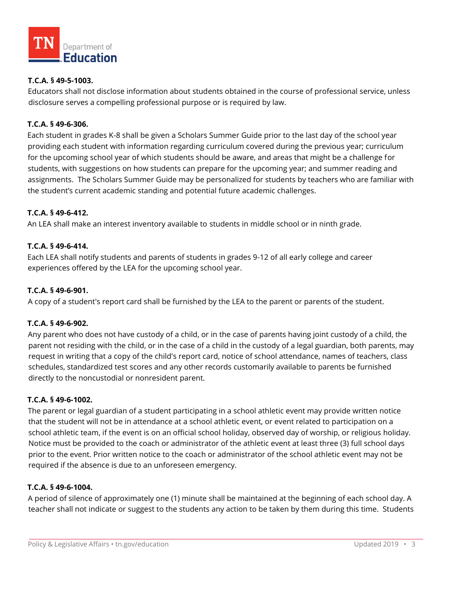

## **T.C.A. § 49-5-1003.**

Educators shall not disclose information about students obtained in the course of professional service, unless disclosure serves a compelling professional purpose or is required by law.

## **T.C.A. § 49-6-306.**

Each student in grades K-8 shall be given a Scholars Summer Guide prior to the last day of the school year providing each student with information regarding curriculum covered during the previous year; curriculum for the upcoming school year of which students should be aware, and areas that might be a challenge for students, with suggestions on how students can prepare for the upcoming year; and summer reading and assignments. The Scholars Summer Guide may be personalized for students by teachers who are familiar with the student's current academic standing and potential future academic challenges.

## **T.C.A. § 49-6-412.**

An LEA shall make an interest inventory available to students in middle school or in ninth grade.

## **T.C.A. § 49-6-414.**

Each LEA shall notify students and parents of students in grades 9-12 of all early college and career experiences offered by the LEA for the upcoming school year.

#### **T.C.A. § 49-6-901.**

A copy of a student's report card shall be furnished by the LEA to the parent or parents of the student.

#### **T.C.A. § 49-6-902.**

Any parent who does not have custody of a child, or in the case of parents having joint custody of a child, the parent not residing with the child, or in the case of a child in the custody of a legal guardian, both parents, may request in writing that a copy of the child's report card, notice of school attendance, names of teachers, class schedules, standardized test scores and any other records customarily available to parents be furnished directly to the noncustodial or nonresident parent.

#### **T.C.A. § 49-6-1002.**

The parent or legal guardian of a student participating in a school athletic event may provide written notice that the student will not be in attendance at a school athletic event, or event related to participation on a school athletic team, if the event is on an official school holiday, observed day of worship, or religious holiday. Notice must be provided to the coach or administrator of the athletic event at least three (3) full school days prior to the event. Prior written notice to the coach or administrator of the school athletic event may not be required if the absence is due to an unforeseen emergency.

#### **T.C.A. § 49-6-1004.**

A period of silence of approximately one (1) minute shall be maintained at the beginning of each school day. A teacher shall not indicate or suggest to the students any action to be taken by them during this time. Students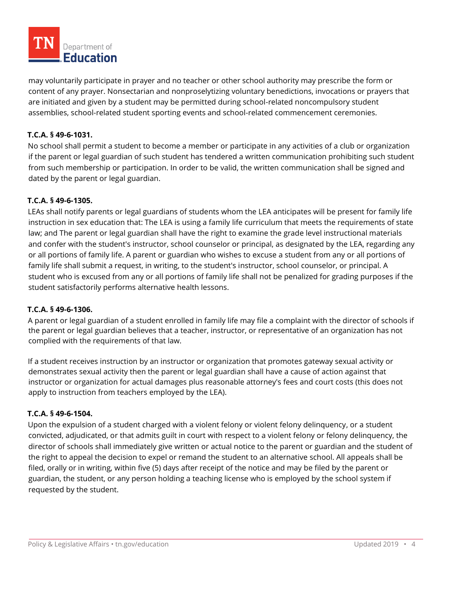

may voluntarily participate in prayer and no teacher or other school authority may prescribe the form or content of any prayer. Nonsectarian and nonproselytizing voluntary benedictions, invocations or prayers that are initiated and given by a student may be permitted during school-related noncompulsory student assemblies, school-related student sporting events and school-related commencement ceremonies.

## **T.C.A. § 49-6-1031.**

No school shall permit a student to become a member or participate in any activities of a club or organization if the parent or legal guardian of such student has tendered a written communication prohibiting such student from such membership or participation. In order to be valid, the written communication shall be signed and dated by the parent or legal guardian.

## **T.C.A. § 49-6-1305.**

LEAs shall notify parents or legal guardians of students whom the LEA anticipates will be present for family life instruction in sex education that: The LEA is using a family life curriculum that meets the requirements of state law; and The parent or legal guardian shall have the right to examine the grade level instructional materials and confer with the student's instructor, school counselor or principal, as designated by the LEA, regarding any or all portions of family life. A parent or guardian who wishes to excuse a student from any or all portions of family life shall submit a request, in writing, to the student's instructor, school counselor, or principal. A student who is excused from any or all portions of family life shall not be penalized for grading purposes if the student satisfactorily performs alternative health lessons.

## **T.C.A. § 49-6-1306.**

A parent or legal guardian of a student enrolled in family life may file a complaint with the director of schools if the parent or legal guardian believes that a teacher, instructor, or representative of an organization has not complied with the requirements of that law.

If a student receives instruction by an instructor or organization that promotes gateway sexual activity or demonstrates sexual activity then the parent or legal guardian shall have a cause of action against that instructor or organization for actual damages plus reasonable attorney's fees and court costs (this does not apply to instruction from teachers employed by the LEA).

## **T.C.A. § 49-6-1504.**

Upon the expulsion of a student charged with a violent felony or violent felony delinquency, or a student convicted, adjudicated, or that admits guilt in court with respect to a violent felony or felony delinquency, the director of schools shall immediately give written or actual notice to the parent or guardian and the student of the right to appeal the decision to expel or remand the student to an alternative school. All appeals shall be filed, orally or in writing, within five (5) days after receipt of the notice and may be filed by the parent or guardian, the student, or any person holding a teaching license who is employed by the school system if requested by the student.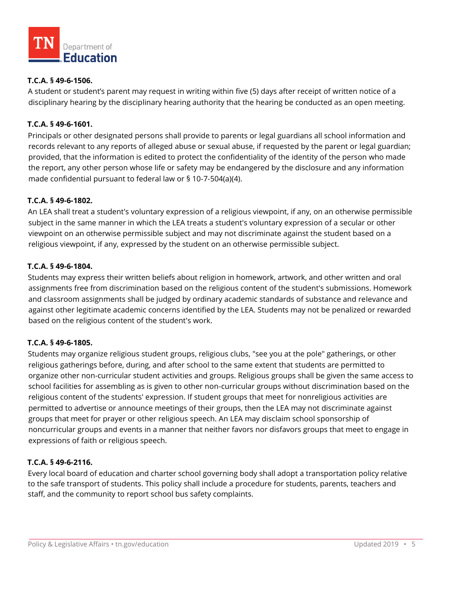

## **T.C.A. § 49-6-1506.**

A student or student's parent may request in writing within five (5) days after receipt of written notice of a disciplinary hearing by the disciplinary hearing authority that the hearing be conducted as an open meeting.

## **T.C.A. § 49-6-1601.**

Principals or other designated persons shall provide to parents or legal guardians all school information and records relevant to any reports of alleged abuse or sexual abuse, if requested by the parent or legal guardian; provided, that the information is edited to protect the confidentiality of the identity of the person who made the report, any other person whose life or safety may be endangered by the disclosure and any information made confidential pursuant to federal law or § 10-7-504(a)(4).

## **T.C.A. § 49-6-1802.**

An LEA shall treat a student's voluntary expression of a religious viewpoint, if any, on an otherwise permissible subject in the same manner in which the LEA treats a student's voluntary expression of a secular or other viewpoint on an otherwise permissible subject and may not discriminate against the student based on a religious viewpoint, if any, expressed by the student on an otherwise permissible subject.

## **T.C.A. § 49-6-1804.**

Students may express their written beliefs about religion in homework, artwork, and other written and oral assignments free from discrimination based on the religious content of the student's submissions. Homework and classroom assignments shall be judged by ordinary academic standards of substance and relevance and against other legitimate academic concerns identified by the LEA. Students may not be penalized or rewarded based on the religious content of the student's work.

## **T.C.A. § 49-6-1805.**

Students may organize religious student groups, religious clubs, "see you at the pole" gatherings, or other religious gatherings before, during, and after school to the same extent that students are permitted to organize other non-curricular student activities and groups. Religious groups shall be given the same access to school facilities for assembling as is given to other non-curricular groups without discrimination based on the religious content of the students' expression. If student groups that meet for nonreligious activities are permitted to advertise or announce meetings of their groups, then the LEA may not discriminate against groups that meet for prayer or other religious speech. An LEA may disclaim school sponsorship of noncurricular groups and events in a manner that neither favors nor disfavors groups that meet to engage in expressions of faith or religious speech.

## **T.C.A. § 49-6-2116.**

Every local board of education and charter school governing body shall adopt a transportation policy relative to the safe transport of students. This policy shall include a procedure for students, parents, teachers and staff, and the community to report school bus safety complaints.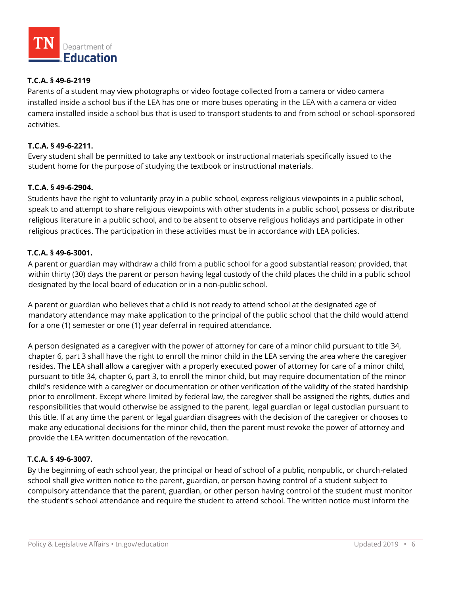

# **T.C.A. § 49-6-2119**

Parents of a student may view photographs or video footage collected from a camera or video camera installed inside a school bus if the LEA has one or more buses operating in the LEA with a camera or video camera installed inside a school bus that is used to transport students to and from school or school-sponsored activities.

## **T.C.A. § 49-6-2211.**

Every student shall be permitted to take any textbook or instructional materials specifically issued to the student home for the purpose of studying the textbook or instructional materials.

## **T.C.A. § 49-6-2904.**

Students have the right to voluntarily pray in a public school, express religious viewpoints in a public school, speak to and attempt to share religious viewpoints with other students in a public school, possess or distribute religious literature in a public school, and to be absent to observe religious holidays and participate in other religious practices. The participation in these activities must be in accordance with LEA policies.

## **T.C.A. § 49-6-3001.**

A parent or guardian may withdraw a child from a public school for a good substantial reason; provided, that within thirty (30) days the parent or person having legal custody of the child places the child in a public school designated by the local board of education or in a non-public school.

A parent or guardian who believes that a child is not ready to attend school at the designated age of mandatory attendance may make application to the principal of the public school that the child would attend for a one (1) semester or one (1) year deferral in required attendance.

A person designated as a caregiver with the power of attorney for care of a minor child pursuant to title 34, chapter 6, part 3 shall have the right to enroll the minor child in the LEA serving the area where the caregiver resides. The LEA shall allow a caregiver with a properly executed power of attorney for care of a minor child, pursuant to title 34, chapter 6, part 3, to enroll the minor child, but may require documentation of the minor child's residence with a caregiver or documentation or other verification of the validity of the stated hardship prior to enrollment. Except where limited by federal law, the caregiver shall be assigned the rights, duties and responsibilities that would otherwise be assigned to the parent, legal guardian or legal custodian pursuant to this title. If at any time the parent or legal guardian disagrees with the decision of the caregiver or chooses to make any educational decisions for the minor child, then the parent must revoke the power of attorney and provide the LEA written documentation of the revocation.

# **T.C.A. § 49-6-3007.**

By the beginning of each school year, the principal or head of school of a public, nonpublic, or church-related school shall give written notice to the parent, guardian, or person having control of a student subject to compulsory attendance that the parent, guardian, or other person having control of the student must monitor the student's school attendance and require the student to attend school. The written notice must inform the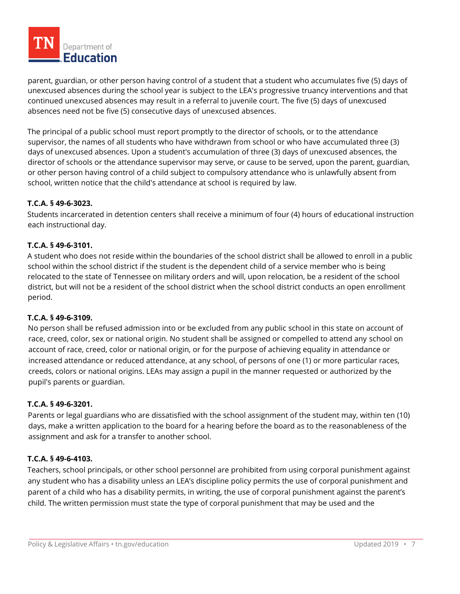

parent, guardian, or other person having control of a student that a student who accumulates five (5) days of unexcused absences during the school year is subject to the LEA's progressive truancy interventions and that continued unexcused absences may result in a referral to juvenile court. The five (5) days of unexcused absences need not be five (5) consecutive days of unexcused absences.

The principal of a public school must report promptly to the director of schools, or to the attendance supervisor, the names of all students who have withdrawn from school or who have accumulated three (3) days of unexcused absences. Upon a student's accumulation of three (3) days of unexcused absences, the director of schools or the attendance supervisor may serve, or cause to be served, upon the parent, guardian, or other person having control of a child subject to compulsory attendance who is unlawfully absent from school, written notice that the child's attendance at school is required by law.

# **T.C.A. § 49-6-3023.**

Students incarcerated in detention centers shall receive a minimum of four (4) hours of educational instruction each instructional day.

## **T.C.A. § 49-6-3101.**

A student who does not reside within the boundaries of the school district shall be allowed to enroll in a public school within the school district if the student is the dependent child of a service member who is being relocated to the state of Tennessee on military orders and will, upon relocation, be a resident of the school district, but will not be a resident of the school district when the school district conducts an open enrollment period.

## **T.C.A. § 49-6-3109.**

No person shall be refused admission into or be excluded from any public school in this state on account of race, creed, color, sex or national origin. No student shall be assigned or compelled to attend any school on account of race, creed, color or national origin, or for the purpose of achieving equality in attendance or increased attendance or reduced attendance, at any school, of persons of one (1) or more particular races, creeds, colors or national origins. LEAs may assign a pupil in the manner requested or authorized by the pupil's parents or guardian.

## **T.C.A. § 49-6-3201.**

Parents or legal guardians who are dissatisfied with the school assignment of the student may, within ten (10) days, make a written application to the board for a hearing before the board as to the reasonableness of the assignment and ask for a transfer to another school.

## **T.C.A. § 49-6-4103.**

Teachers, school principals, or other school personnel are prohibited from using corporal punishment against any student who has a disability unless an LEA's discipline policy permits the use of corporal punishment and parent of a child who has a disability permits, in writing, the use of corporal punishment against the parent's child. The written permission must state the type of corporal punishment that may be used and the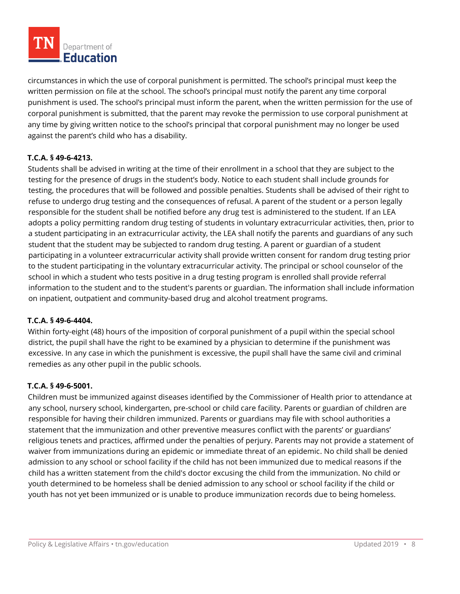

circumstances in which the use of corporal punishment is permitted. The school's principal must keep the written permission on file at the school. The school's principal must notify the parent any time corporal punishment is used. The school's principal must inform the parent, when the written permission for the use of corporal punishment is submitted, that the parent may revoke the permission to use corporal punishment at any time by giving written notice to the school's principal that corporal punishment may no longer be used against the parent's child who has a disability.

# **T.C.A. § 49-6-4213.**

Students shall be advised in writing at the time of their enrollment in a school that they are subject to the testing for the presence of drugs in the student's body. Notice to each student shall include grounds for testing, the procedures that will be followed and possible penalties. Students shall be advised of their right to refuse to undergo drug testing and the consequences of refusal. A parent of the student or a person legally responsible for the student shall be notified before any drug test is administered to the student. If an LEA adopts a policy permitting random drug testing of students in voluntary extracurricular activities, then, prior to a student participating in an extracurricular activity, the LEA shall notify the parents and guardians of any such student that the student may be subjected to random drug testing. A parent or guardian of a student participating in a volunteer extracurricular activity shall provide written consent for random drug testing prior to the student participating in the voluntary extracurricular activity. The principal or school counselor of the school in which a student who tests positive in a drug testing program is enrolled shall provide referral information to the student and to the student's parents or guardian. The information shall include information on inpatient, outpatient and community-based drug and alcohol treatment programs.

## **T.C.A. § 49-6-4404.**

Within forty-eight (48) hours of the imposition of corporal punishment of a pupil within the special school district, the pupil shall have the right to be examined by a physician to determine if the punishment was excessive. In any case in which the punishment is excessive, the pupil shall have the same civil and criminal remedies as any other pupil in the public schools.

## **T.C.A. § 49-6-5001.**

Children must be immunized against diseases identified by the Commissioner of Health prior to attendance at any school, nursery school, kindergarten, pre-school or child care facility. Parents or guardian of children are responsible for having their children immunized. Parents or guardians may file with school authorities a statement that the immunization and other preventive measures conflict with the parents' or guardians' religious tenets and practices, affirmed under the penalties of perjury. Parents may not provide a statement of waiver from immunizations during an epidemic or immediate threat of an epidemic. No child shall be denied admission to any school or school facility if the child has not been immunized due to medical reasons if the child has a written statement from the child's doctor excusing the child from the immunization. No child or youth determined to be homeless shall be denied admission to any school or school facility if the child or youth has not yet been immunized or is unable to produce immunization records due to being homeless.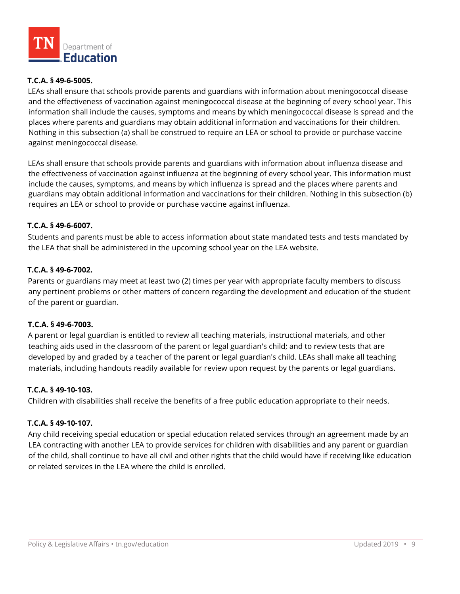

## **T.C.A. § 49-6-5005.**

LEAs shall ensure that schools provide parents and guardians with information about meningococcal disease and the effectiveness of vaccination against meningococcal disease at the beginning of every school year. This information shall include the causes, symptoms and means by which meningococcal disease is spread and the places where parents and guardians may obtain additional information and vaccinations for their children. Nothing in this subsection (a) shall be construed to require an LEA or school to provide or purchase vaccine against meningococcal disease.

LEAs shall ensure that schools provide parents and guardians with information about influenza disease and the effectiveness of vaccination against influenza at the beginning of every school year. This information must include the causes, symptoms, and means by which influenza is spread and the places where parents and guardians may obtain additional information and vaccinations for their children. Nothing in this subsection (b) requires an LEA or school to provide or purchase vaccine against influenza.

## **T.C.A. § 49-6-6007.**

Students and parents must be able to access information about state mandated tests and tests mandated by the LEA that shall be administered in the upcoming school year on the LEA website.

#### **T.C.A. § 49-6-7002.**

Parents or guardians may meet at least two (2) times per year with appropriate faculty members to discuss any pertinent problems or other matters of concern regarding the development and education of the student of the parent or guardian.

#### **T.C.A. § 49-6-7003.**

A parent or legal guardian is entitled to review all teaching materials, instructional materials, and other teaching aids used in the classroom of the parent or legal guardian's child; and to review tests that are developed by and graded by a teacher of the parent or legal guardian's child. LEAs shall make all teaching materials, including handouts readily available for review upon request by the parents or legal guardians.

#### **T.C.A. § 49-10-103.**

Children with disabilities shall receive the benefits of a free public education appropriate to their needs.

#### **T.C.A. § 49-10-107.**

Any child receiving special education or special education related services through an agreement made by an LEA contracting with another LEA to provide services for children with disabilities and any parent or guardian of the child, shall continue to have all civil and other rights that the child would have if receiving like education or related services in the LEA where the child is enrolled.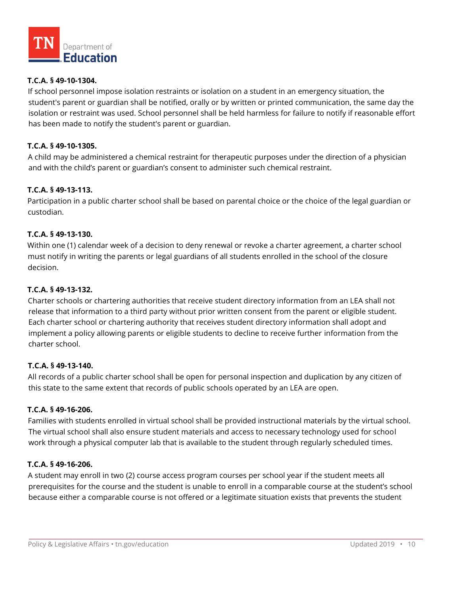

## **T.C.A. § 49-10-1304.**

If school personnel impose isolation restraints or isolation on a student in an emergency situation, the student's parent or guardian shall be notified, orally or by written or printed communication, the same day the isolation or restraint was used. School personnel shall be held harmless for failure to notify if reasonable effort has been made to notify the student's parent or guardian.

## **T.C.A. § 49-10-1305.**

A child may be administered a chemical restraint for therapeutic purposes under the direction of a physician and with the child's parent or guardian's consent to administer such chemical restraint.

## **T.C.A. § 49-13-113.**

Participation in a public charter school shall be based on parental choice or the choice of the legal guardian or custodian.

## **T.C.A. § 49-13-130.**

Within one (1) calendar week of a decision to deny renewal or revoke a charter agreement, a charter school must notify in writing the parents or legal guardians of all students enrolled in the school of the closure decision.

## **T.C.A. § 49-13-132.**

Charter schools or chartering authorities that receive student directory information from an LEA shall not release that information to a third party without prior written consent from the parent or eligible student. Each charter school or chartering authority that receives student directory information shall adopt and implement a policy allowing parents or eligible students to decline to receive further information from the charter school.

## **T.C.A. § 49-13-140.**

All records of a public charter school shall be open for personal inspection and duplication by any citizen of this state to the same extent that records of public schools operated by an LEA are open.

## **T.C.A. § 49-16-206.**

Families with students enrolled in virtual school shall be provided instructional materials by the virtual school. The virtual school shall also ensure student materials and access to necessary technology used for school work through a physical computer lab that is available to the student through regularly scheduled times.

## **T.C.A. § 49-16-206.**

A student may enroll in two (2) course access program courses per school year if the student meets all prerequisites for the course and the student is unable to enroll in a comparable course at the student's school because either a comparable course is not offered or a legitimate situation exists that prevents the student